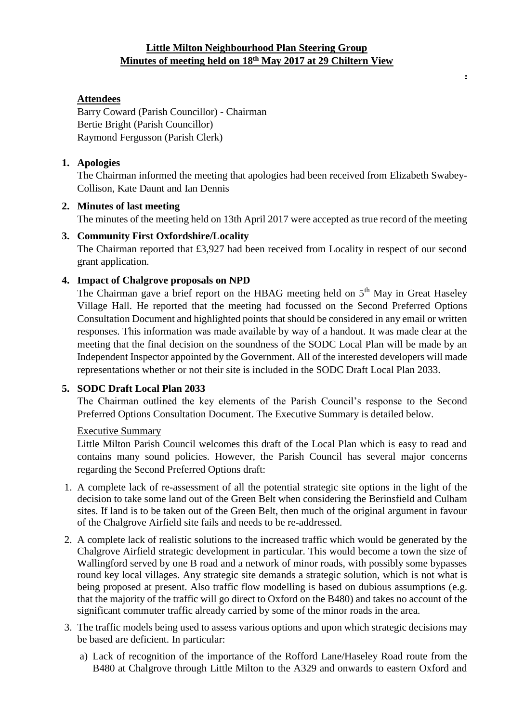### **Little Milton Neighbourhood Plan Steering Group Minutes of meeting held on 18 th May 2017 at 29 Chiltern View**

**.**

# **Attendees**

Barry Coward (Parish Councillor) - Chairman Bertie Bright (Parish Councillor) Raymond Fergusson (Parish Clerk)

### **1. Apologies**

The Chairman informed the meeting that apologies had been received from Elizabeth Swabey-Collison, Kate Daunt and Ian Dennis

### **2. Minutes of last meeting**

The minutes of the meeting held on 13th April 2017 were accepted as true record of the meeting

# **3. Community First Oxfordshire/Locality**

The Chairman reported that £3,927 had been received from Locality in respect of our second grant application.

# **4. Impact of Chalgrove proposals on NPD**

The Chairman gave a brief report on the HBAG meeting held on  $5<sup>th</sup>$  May in Great Haseley Village Hall. He reported that the meeting had focussed on the Second Preferred Options Consultation Document and highlighted points that should be considered in any email or written responses. This information was made available by way of a handout. It was made clear at the meeting that the final decision on the soundness of the SODC Local Plan will be made by an Independent Inspector appointed by the Government. All of the interested developers will made representations whether or not their site is included in the SODC Draft Local Plan 2033.

# **5. SODC Draft Local Plan 2033**

The Chairman outlined the key elements of the Parish Council's response to the Second Preferred Options Consultation Document. The Executive Summary is detailed below.

### Executive Summary

Little Milton Parish Council welcomes this draft of the Local Plan which is easy to read and contains many sound policies. However, the Parish Council has several major concerns regarding the Second Preferred Options draft:

- 1. A complete lack of re-assessment of all the potential strategic site options in the light of the decision to take some land out of the Green Belt when considering the Berinsfield and Culham sites. If land is to be taken out of the Green Belt, then much of the original argument in favour of the Chalgrove Airfield site fails and needs to be re-addressed.
- 2. A complete lack of realistic solutions to the increased traffic which would be generated by the Chalgrove Airfield strategic development in particular. This would become a town the size of Wallingford served by one B road and a network of minor roads, with possibly some bypasses round key local villages. Any strategic site demands a strategic solution, which is not what is being proposed at present. Also traffic flow modelling is based on dubious assumptions (e.g. that the majority of the traffic will go direct to Oxford on the B480) and takes no account of the significant commuter traffic already carried by some of the minor roads in the area.
- 3. The traffic models being used to assess various options and upon which strategic decisions may be based are deficient. In particular:
	- a) Lack of recognition of the importance of the Rofford Lane/Haseley Road route from the B480 at Chalgrove through Little Milton to the A329 and onwards to eastern Oxford and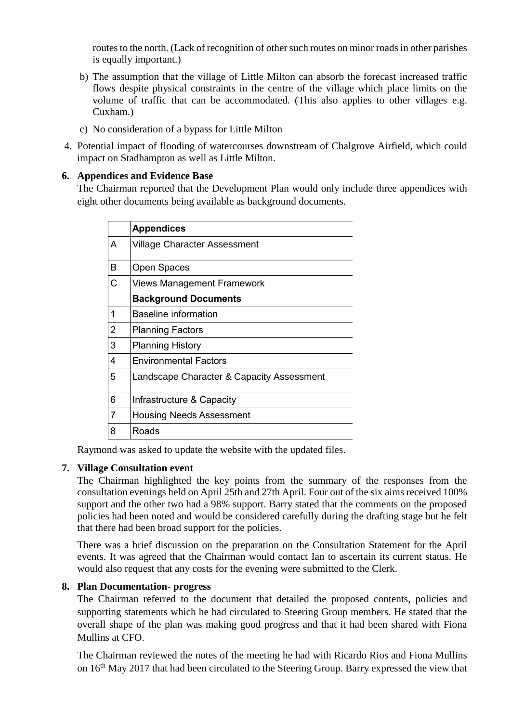routes to the north. (Lack of recognition of other such routes on minor roads in other parishes is equally important.)

- b) The assumption that the village of Little Milton can absorb the forecast increased traffic flows despite physical constraints in the centre of the village which place limits on the volume of traffic that can be accommodated. (This also applies to other villages e.g. Cuxham.)
- c) No consideration of a bypass for Little Milton
- 4. Potential impact of flooding of watercourses downstream of Chalgrove Airfield, which could impact on Stadhampton as well as Little Milton.

### **6. Appendices and Evidence Base**

The Chairman reported that the Development Plan would only include three appendices with eight other documents being available as background documents.

|   | <b>Appendices</b>                         |
|---|-------------------------------------------|
| А | <b>Village Character Assessment</b>       |
| в | <b>Open Spaces</b>                        |
| C | <b>Views Management Framework</b>         |
|   | <b>Background Documents</b>               |
| 1 | Baseline information                      |
| 2 | <b>Planning Factors</b>                   |
| 3 | <b>Planning History</b>                   |
| 4 | <b>Environmental Factors</b>              |
| 5 | Landscape Character & Capacity Assessment |
| 6 | Infrastructure & Capacity                 |
| 7 | <b>Housing Needs Assessment</b>           |
| 8 | Roads                                     |

Raymond was asked to update the website with the updated files.

### **7. Village Consultation event**

The Chairman highlighted the key points from the summary of the responses from the consultation evenings held on April 25th and 27th April. Four out of the six aims received 100% support and the other two had a 98% support. Barry stated that the comments on the proposed policies had been noted and would be considered carefully during the drafting stage but he felt that there had been broad support for the policies.

There was a brief discussion on the preparation on the Consultation Statement for the April events. It was agreed that the Chairman would contact Ian to ascertain its current status. He would also request that any costs for the evening were submitted to the Clerk.

### **8. Plan Documentation- progress**

The Chairman referred to the document that detailed the proposed contents, policies and supporting statements which he had circulated to Steering Group members. He stated that the overall shape of the plan was making good progress and that it had been shared with Fiona Mullins at CFO.

The Chairman reviewed the notes of the meeting he had with Ricardo Rios and Fiona Mullins on 16<sup>th</sup> May 2017 that had been circulated to the Steering Group. Barry expressed the view that